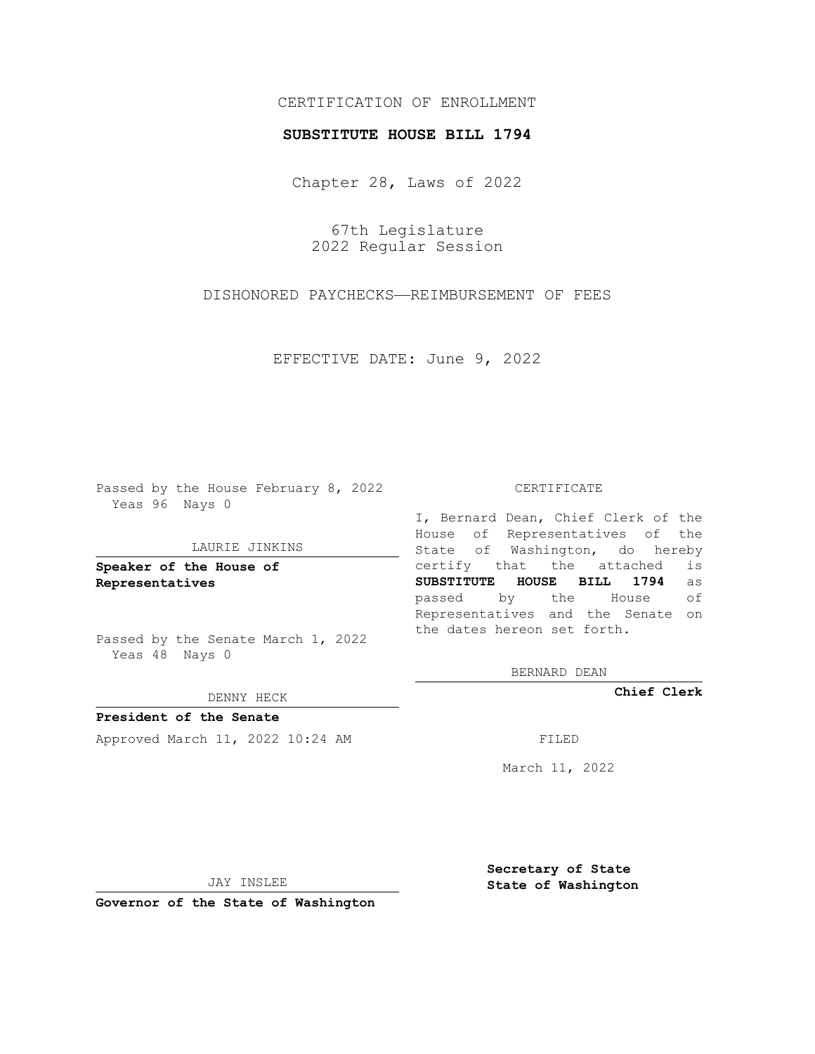# CERTIFICATION OF ENROLLMENT

### **SUBSTITUTE HOUSE BILL 1794**

Chapter 28, Laws of 2022

67th Legislature 2022 Regular Session

DISHONORED PAYCHECKS—REIMBURSEMENT OF FEES

EFFECTIVE DATE: June 9, 2022

Passed by the House February 8, 2022 Yeas 96 Nays 0

#### LAURIE JINKINS

**Speaker of the House of Representatives**

Passed by the Senate March 1, 2022 Yeas 48 Nays 0

### DENNY HECK

**President of the Senate** Approved March 11, 2022 10:24 AM FILED

CERTIFICATE

I, Bernard Dean, Chief Clerk of the House of Representatives of the State of Washington, do hereby certify that the attached is **SUBSTITUTE HOUSE BILL 1794** as passed by the House of Representatives and the Senate on the dates hereon set forth.

BERNARD DEAN

**Chief Clerk**

March 11, 2022

JAY INSLEE

**Governor of the State of Washington**

**Secretary of State State of Washington**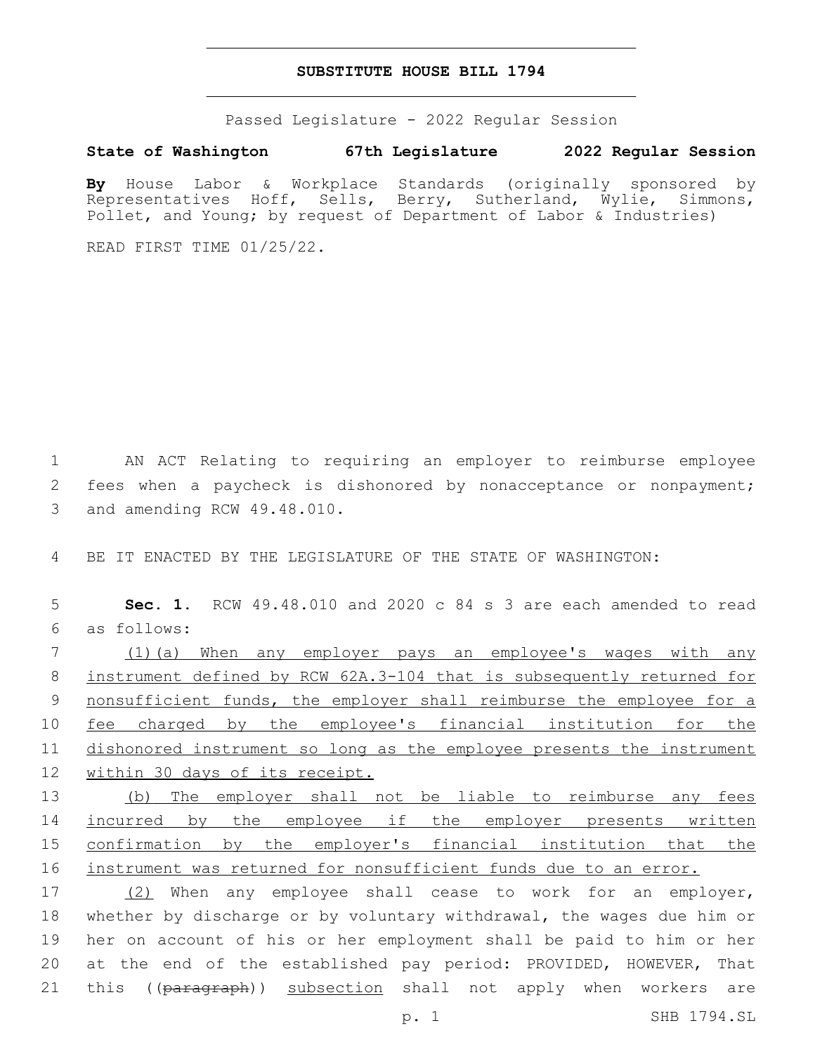## **SUBSTITUTE HOUSE BILL 1794**

Passed Legislature - 2022 Regular Session

**State of Washington 67th Legislature 2022 Regular Session**

**By** House Labor & Workplace Standards (originally sponsored by Representatives Hoff, Sells, Berry, Sutherland, Wylie, Simmons, Pollet, and Young; by request of Department of Labor & Industries)

READ FIRST TIME 01/25/22.

1 AN ACT Relating to requiring an employer to reimburse employee 2 fees when a paycheck is dishonored by nonacceptance or nonpayment; 3 and amending RCW 49.48.010.

4 BE IT ENACTED BY THE LEGISLATURE OF THE STATE OF WASHINGTON:

5 **Sec. 1.** RCW 49.48.010 and 2020 c 84 s 3 are each amended to read as follows:6

 (1)(a) When any employer pays an employee's wages with any instrument defined by RCW 62A.3-104 that is subsequently returned for 9 nonsufficient funds, the employer shall reimburse the employee for a 10 fee charged by the employee's financial institution for the dishonored instrument so long as the employee presents the instrument within 30 days of its receipt.

 (b) The employer shall not be liable to reimburse any fees 14 incurred by the employee if the employer presents written confirmation by the employer's financial institution that the instrument was returned for nonsufficient funds due to an error.

17 (2) When any employee shall cease to work for an employer, 18 whether by discharge or by voluntary withdrawal, the wages due him or 19 her on account of his or her employment shall be paid to him or her 20 at the end of the established pay period: PROVIDED, HOWEVER, That 21 this ((paragraph)) subsection shall not apply when workers are